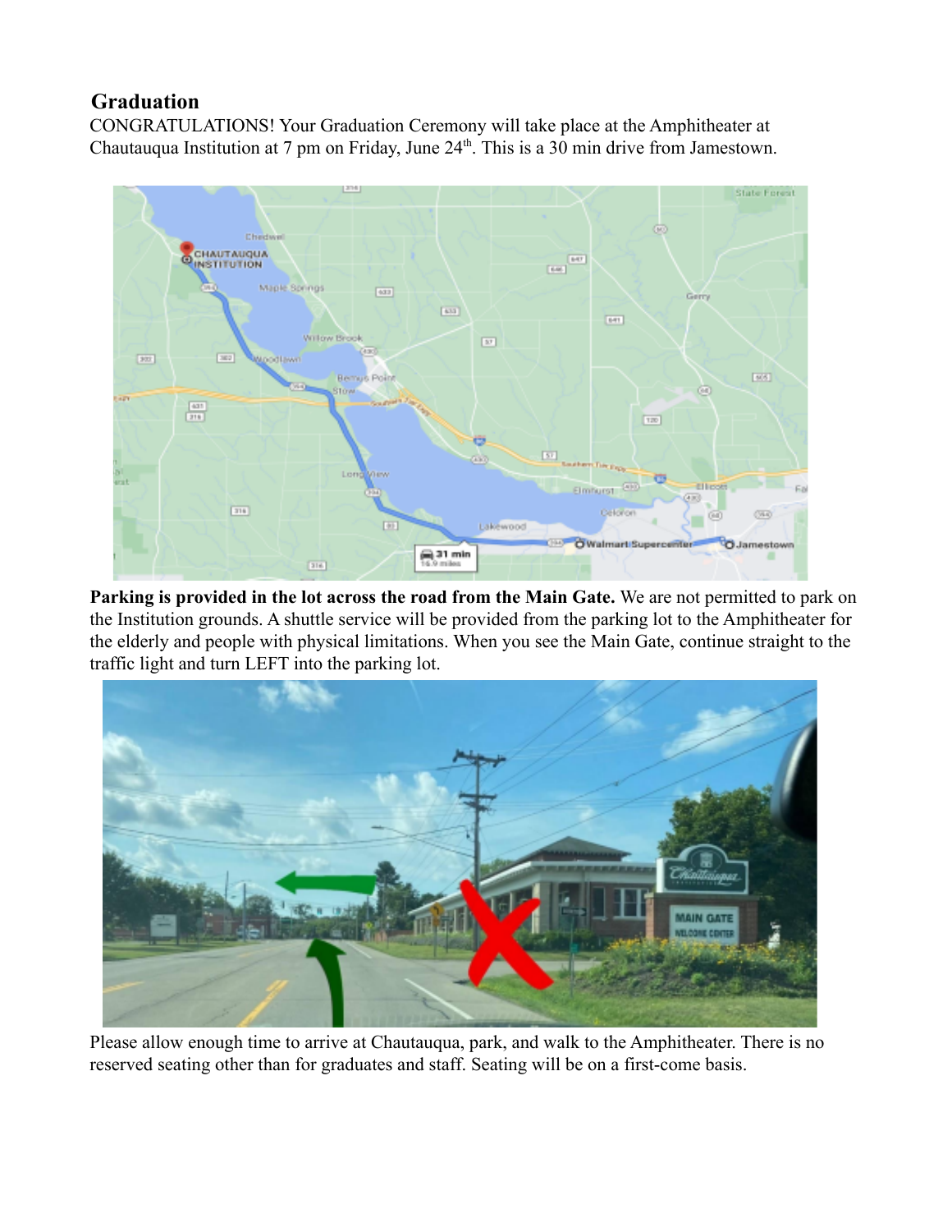## **Graduation**

CONGRATULATIONS! Your Graduation Ceremony will take place at the Amphitheater at Chautauqua Institution at  $7 \text{ pm}$  on Friday, June  $24^{\text{th}}$ . This is a 30 min drive from Jamestown.



**Parking is provided in the lot across the road from the Main Gate.** We are not permitted to park on the Institution grounds. A shuttle service will be provided from the parking lot to the Amphitheater for the elderly and people with physical limitations. When you see the Main Gate, continue straight to the traffic light and turn LEFT into the parking lot.



Please allow enough time to arrive at Chautauqua, park, and walk to the Amphitheater. There is no reserved seating other than for graduates and staff. Seating will be on a first-come basis.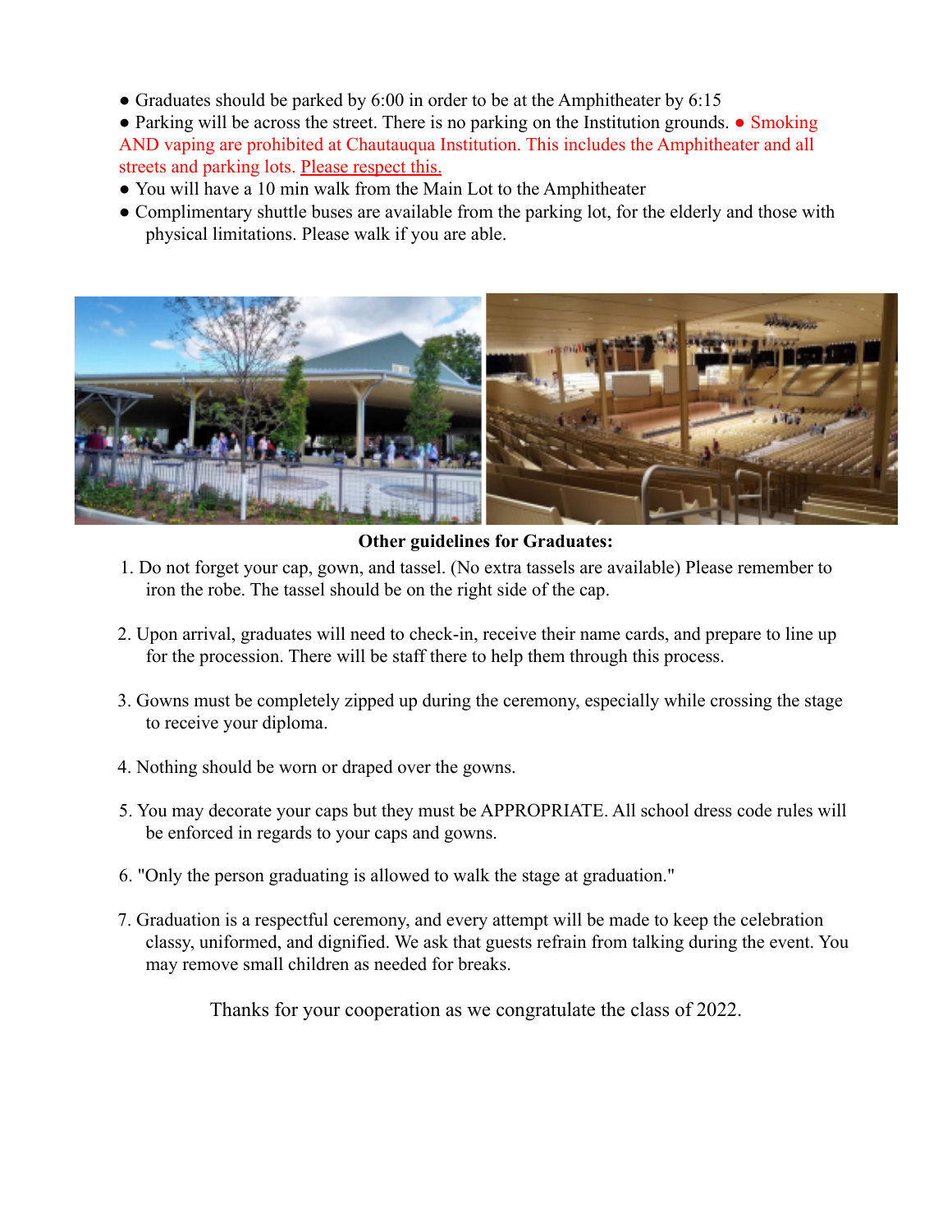• Graduates should be parked by 6:00 in order to be at the Amphitheater by 6:15

• Parking will be across the street. There is no parking on the Institution grounds. • Smoking AND vaping are prohibited at Chautauqua Institution. This includes the Amphitheater and all streets and parking lots. Please respect this.

- You will have a 10 min walk from the Main Lot to the Amphitheater
- Complimentary shuttle buses are available from the parking lot, for the elderly and those with physical limitations. Please walk if you are able.



**Other guidelines for Graduates:**

- 1. Do not forget your cap, gown, and tassel. (No extra tassels are available) Please remember to iron the robe. The tassel should be on the right side of the cap.
- 2. Upon arrival, graduates will need to check-in, receive their name cards, and prepare to line up for the procession. There will be staff there to help them through this process.
- 3. Gowns must be completely zipped up during the ceremony, especially while crossing the stage to receive your diploma.
- 4. Nothing should be worn or draped over the gowns.
- 5. You may decorate your caps but they must be APPROPRIATE. All school dress code rules will be enforced in regards to your caps and gowns.
- 6. "Only the person graduating is allowed to walk the stage at graduation."
- 7. Graduation is a respectful ceremony, and every attempt will be made to keep the celebration classy, uniformed, and dignified. We ask that guests refrain from talking during the event. You may remove small children as needed for breaks.

Thanks for your cooperation as we congratulate the class of 2022.